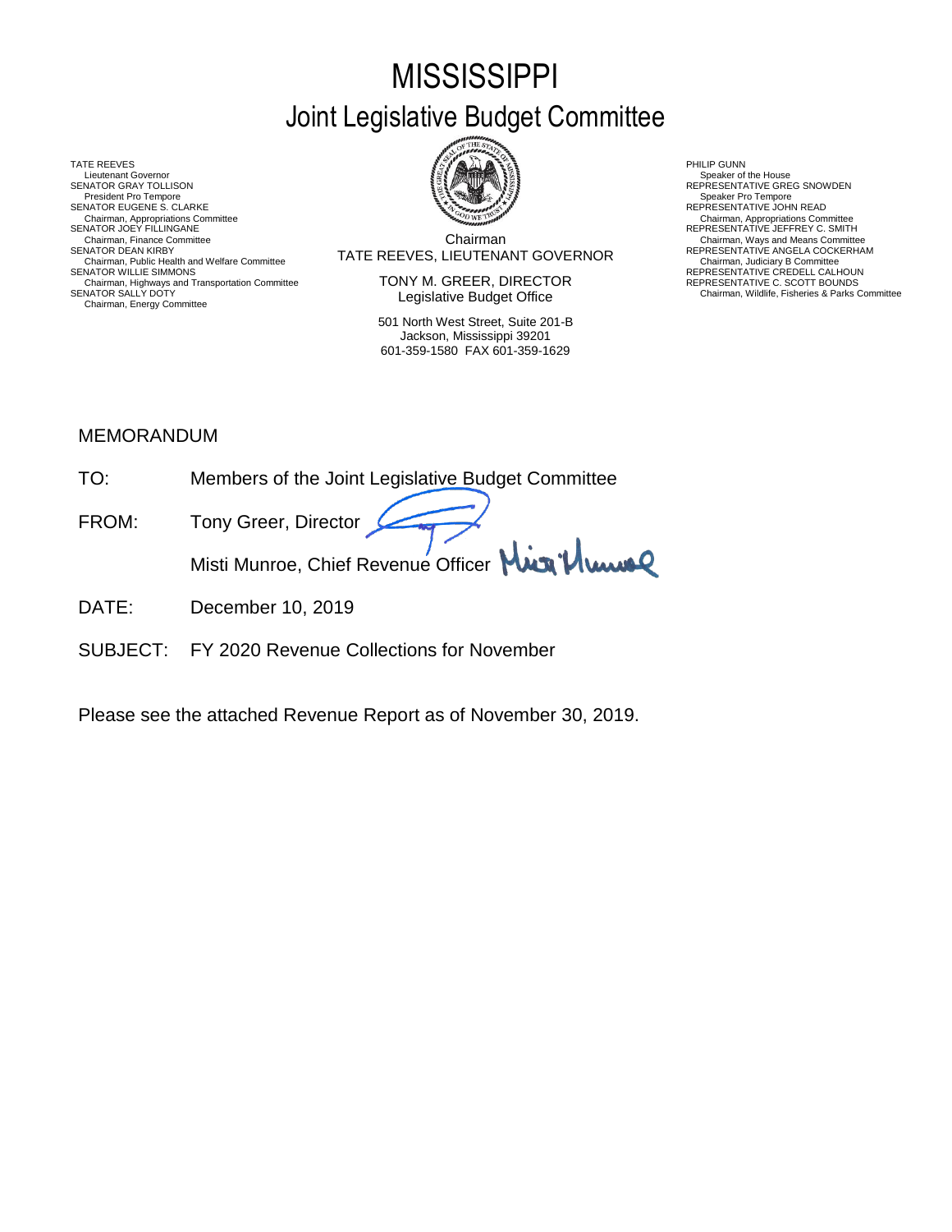# **MISSISSIPPI** Joint Legislative Budget Committee

TATE REEVES THE REDUCT THE REEVES AND RELATED AS A RELATED MALL OF LATER REEVES AND RELATED AT A RELATED MALL OF LATER SUMMARY AND RELATED AT A RELATED AND RELATED AT A RELATED MALL OF LATER SUMMARY AND RELATED AT A RELAT Lieutenant Governor<br>SENATOR GRAY TOLLISON President Pro Tempore SENATOR EUGENE S. CLARKE<br>Chairman, Appropriations Committee<br>SENATOR JOEY FILLINGANE Chairman, Appropriations Committee Chairman, Appropriations Committee<br>SENATOR JOEY FILLINGANE REPRESENTATIVE JEFFREY C. SMITH Chairman, Public Health and Welfare Committee **SENATOR MUST AT A LIGENTY CONTINUM CONTINUM**<br>SENATOR WILLIE SIMMONS **REPRESENTATIVE CREDELL CALHOUN**<br>Chairman, Highways and Transportation Committee **SENATOR** CREDELL CALHOUN Chairman, Highways and Transportation Committee REPRESENTATIVE C. SCOTT BOUNDS SENATOR SALLY DOTY Chairman, Wildlife, Fisheries & Parks Committee Chairman, Energy Committee



Chairman SENATOR DEAN KIRBY (SENATOR DEAN KIRBY) TATE REEVES, LIEUTENANT GOVERNOR REPRESENTATIVE ANGELA COCKERHAM<br>Chairman, Judiciary B Committee Committee Committee Committee Committee Committee Committee Committee Committe Chairman, Finance Committee **Chairman**<br>Chairman Committee **Chairman** Committee **Chairman** COVERNOR REPRESENTATIVE ANGELA COCKERHAM

> TONY M. GREER, DIRECTOR Legislative Budget Office

501 North West Street, Suite 201-B Jackson, Mississippi 39201 601-359-1580 FAX 601-359-1629

Speaker of the House<br>REPRESENTATIVE GREG SNOWDEN<br>Speaker Pro Tempore

## MEMORANDUM

- TO: Members of the Joint Legislative Budget Committee FROM: Tony Greer, Director Misti Munroe, Chief Revenue Officer Mun<sup>1</sup>/ Www
- DATE: December 10, 2019
- SUBJECT: FY 2020 Revenue Collections for November

Please see the attached Revenue Report as of November 30, 2019.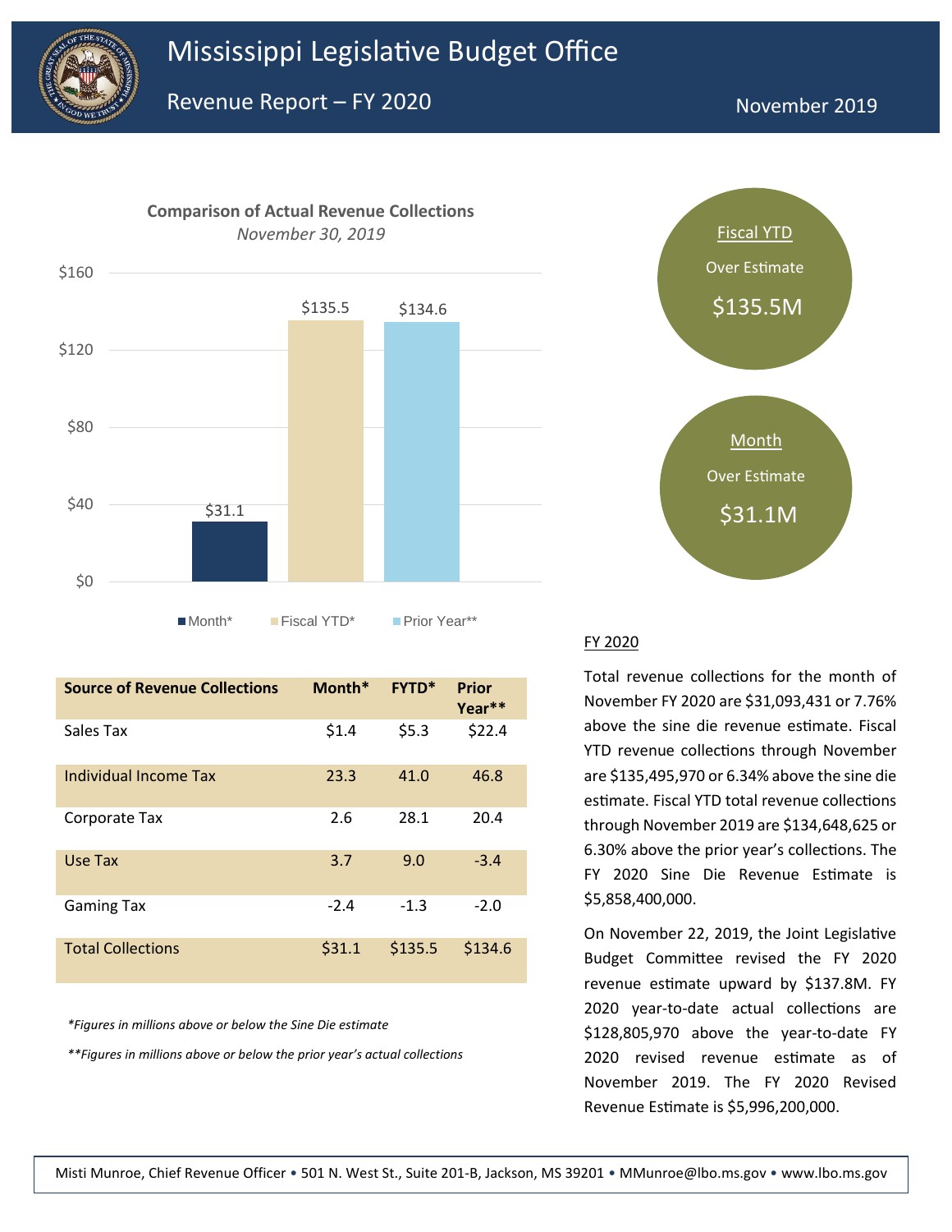



| <b>Source of Revenue Collections</b> | Month* | <b>FYTD*</b> | Prior<br>Year** |
|--------------------------------------|--------|--------------|-----------------|
| Sales Tax                            | \$1.4  | \$5.3        | \$22.4          |
| Individual Income Tax                | 23.3   | 41.0         | 46.8            |
| Corporate Tax                        | 2.6    | 28.1         | 20.4            |
| Use Tax                              | 3.7    | 9.0          | $-3.4$          |
| <b>Gaming Tax</b>                    | $-2.4$ | $-1.3$       | $-2.0$          |
| <b>Total Collections</b>             | \$31.1 | \$135.5      | \$134.6         |

*\*Figures in millions above or below the Sine Die estimate*

*\*\*Figures in millions above or below the prior year's actual collections*



## FY 2020

Total revenue collections for the month of November FY 2020 are \$31,093,431 or 7.76% above the sine die revenue estimate. Fiscal YTD revenue collections through November are \$135,495,970 or 6.34% above the sine die estimate. Fiscal YTD total revenue collections through November 2019 are \$134,648,625 or 6.30% above the prior year's collections. The FY 2020 Sine Die Revenue Estimate is \$5,858,400,000.

On November 22, 2019, the Joint Legislative Budget Committee revised the FY 2020 revenue estimate upward by \$137.8M. FY 2020 year-to-date actual collections are \$128,805,970 above the year-to-date FY 2020 revised revenue estimate as of November 2019. The FY 2020 Revised Revenue Estimate is \$5,996,200,000.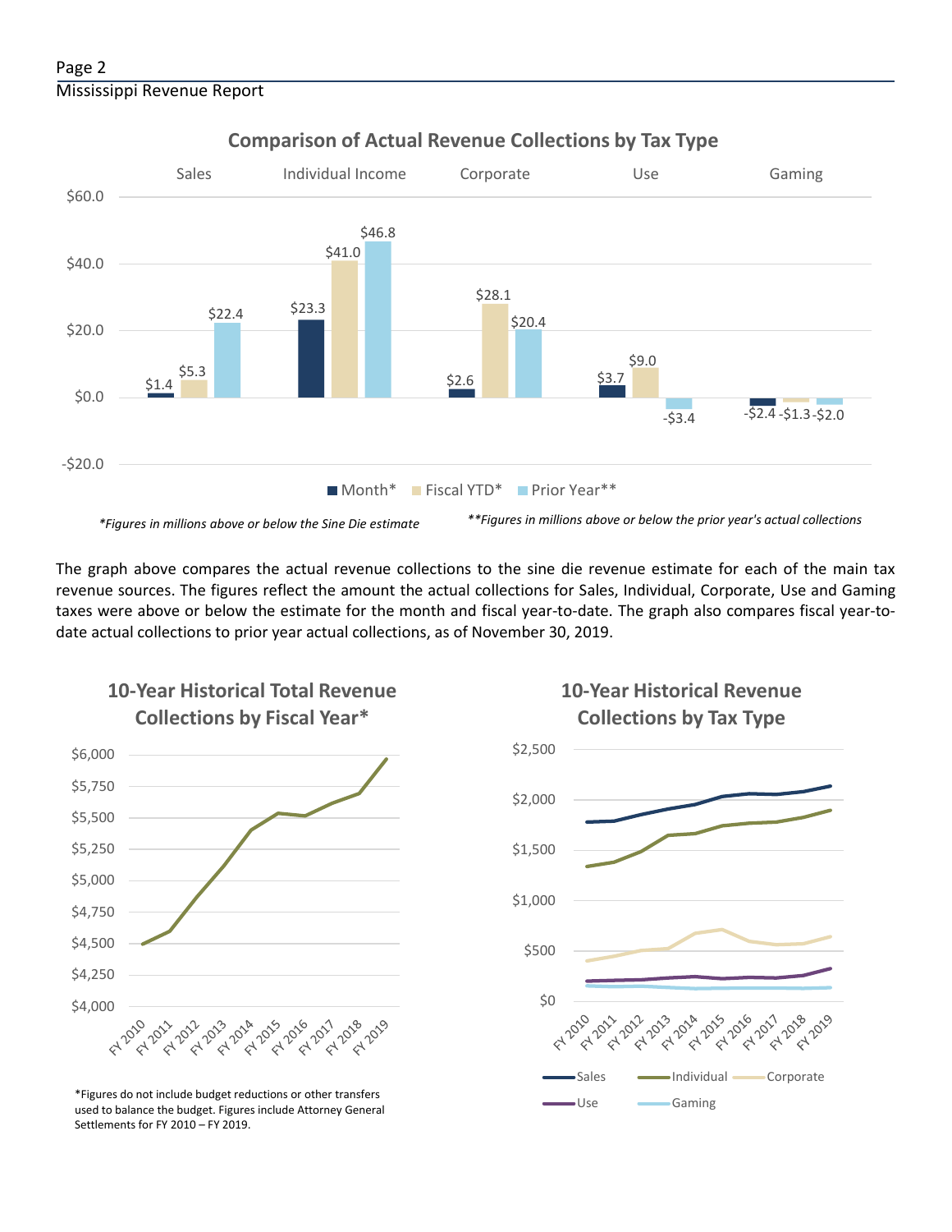

## **Comparison of Actual Revenue Collections by Tax Type**

The graph above compares the actual revenue collections to the sine die revenue estimate for each of the main tax revenue sources. The figures reflect the amount the actual collections for Sales, Individual, Corporate, Use and Gaming taxes were above or below the estimate for the month and fiscal year-to-date. The graph also compares fiscal year-todate actual collections to prior year actual collections, as of November 30, 2019.



**10-Year Historical Total Revenue** 

Use Gaming \*Figures do not include budget reductions or other transfers used to balance the budget. Figures include Attorney General Settlements for FY 2010 – FY 2019.



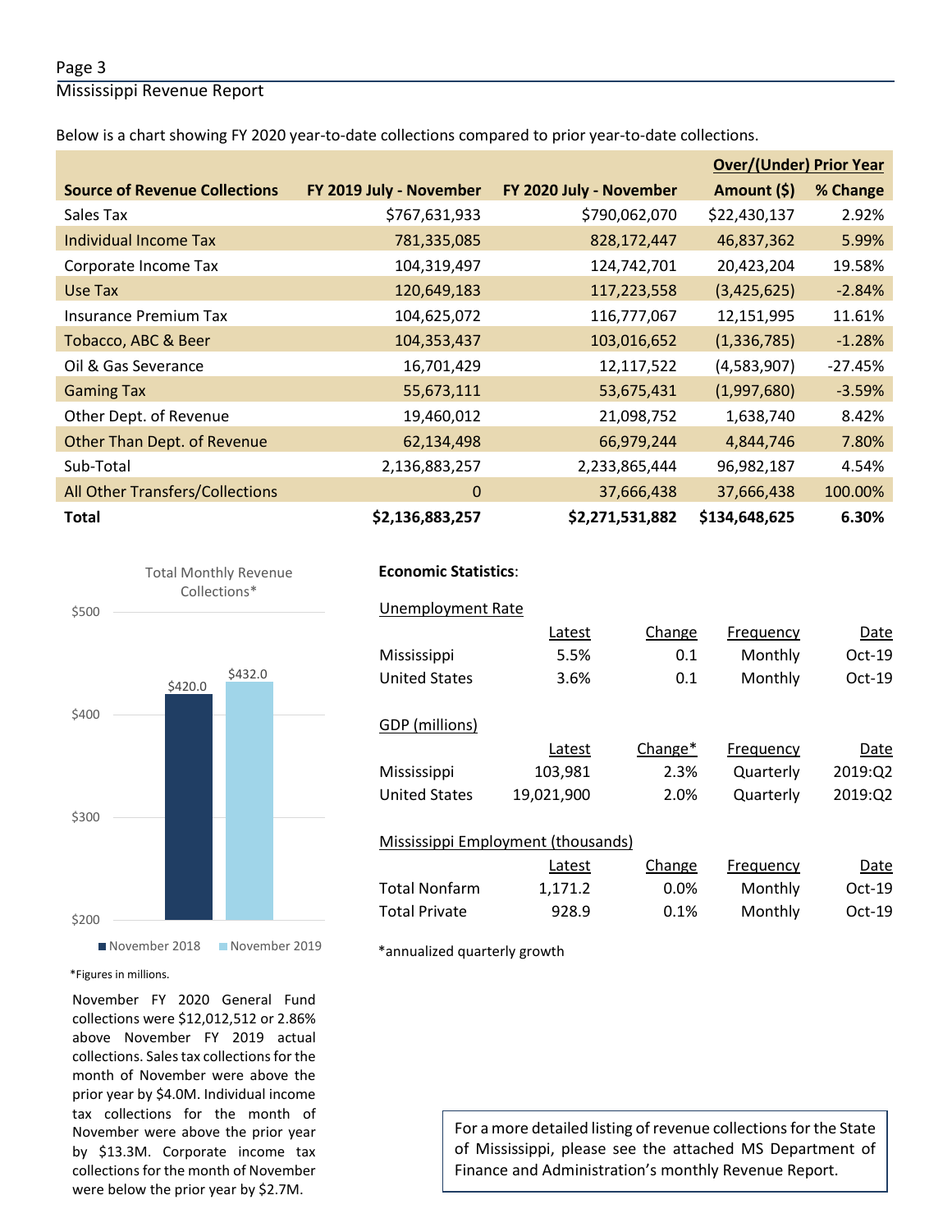### Page 3

Mississippi Revenue Report

Below is a chart showing FY 2020 year-to-date collections compared to prior year-to-date collections.

|                                      |                         |                         | <b>Over/(Under) Prior Year</b> |           |  |
|--------------------------------------|-------------------------|-------------------------|--------------------------------|-----------|--|
| <b>Source of Revenue Collections</b> | FY 2019 July - November | FY 2020 July - November | Amount (\$)                    | % Change  |  |
| Sales Tax                            | \$767,631,933           | \$790,062,070           | \$22,430,137                   | 2.92%     |  |
| Individual Income Tax                | 781,335,085             | 828,172,447             | 46,837,362                     | 5.99%     |  |
| Corporate Income Tax                 | 104,319,497             | 124,742,701             | 20,423,204                     | 19.58%    |  |
| Use Tax                              | 120,649,183             | 117,223,558             | (3,425,625)                    | $-2.84%$  |  |
| <b>Insurance Premium Tax</b>         | 104,625,072             | 116,777,067             | 12,151,995                     | 11.61%    |  |
| Tobacco, ABC & Beer                  | 104,353,437             | 103,016,652             | (1,336,785)                    | $-1.28%$  |  |
| Oil & Gas Severance                  | 16,701,429              | 12,117,522              | (4,583,907)                    | $-27.45%$ |  |
| <b>Gaming Tax</b>                    | 55,673,111              | 53,675,431              | (1,997,680)                    | $-3.59%$  |  |
| Other Dept. of Revenue               | 19,460,012              | 21,098,752              | 1,638,740                      | 8.42%     |  |
| Other Than Dept. of Revenue          | 62,134,498              | 66,979,244              | 4,844,746                      | 7.80%     |  |
| Sub-Total                            | 2,136,883,257           | 2,233,865,444           | 96,982,187                     | 4.54%     |  |
| All Other Transfers/Collections      | $\mathbf{0}$            | 37,666,438              | 37,666,438                     | 100.00%   |  |
| <b>Total</b>                         | \$2,136,883,257         | \$2,271,531,882         | \$134,648,625                  | 6.30%     |  |





## **Economic Statistics**:  **Economic Statistics**:

## Unemployment Rate Unemployment Rate Latest Change Frequency Date Latest Change Frequency Date Mississippi 5.5% 0.1 Monthly Oct-19 103,981 2.3% Quarterly 2019:Q2 United States 19,021,900 2.0% Quarterly 2019:Q2 Latest 1,171.2 0.0% Monthly Oct-19 Total Private **928.9** 0.1% Monthly Oct-19 United States 3.6% 0.1 Monthly Oct-19 GDP (millions) Latest Change\* Frequency Date Mississippi Mississippi Employment (thousands) Change Frequency Date Total Nonfarm

\*annualized quarterly growth

#### \*Figures in millions.

November FY 2020 General Fund collections were \$12,012,512 or 2.86% above November FY 2019 actual collections. Sales tax collections for the month of November were above the prior year by \$4.0M. Individual income tax collections for the month of November were above the prior year by \$13.3M. Corporate income tax collections for the month of November were below the prior year by \$2.7M.

For a more detailed listing of revenue collections for the State of Mississippi, please see the attached MS Department of Finance and Administration's monthly Revenue Report.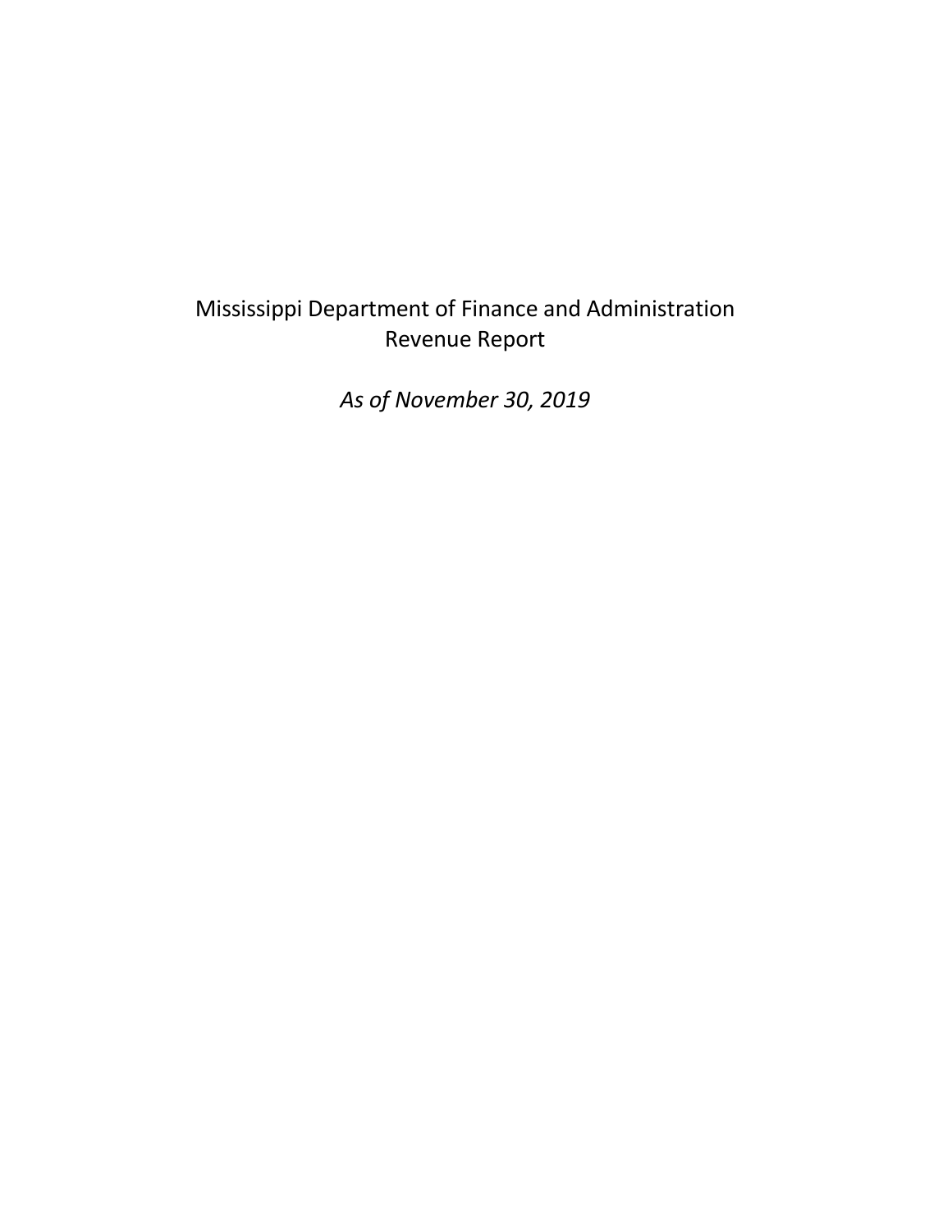## Mississippi Department of Finance and Administration Revenue Report

*As of November 30, 2019*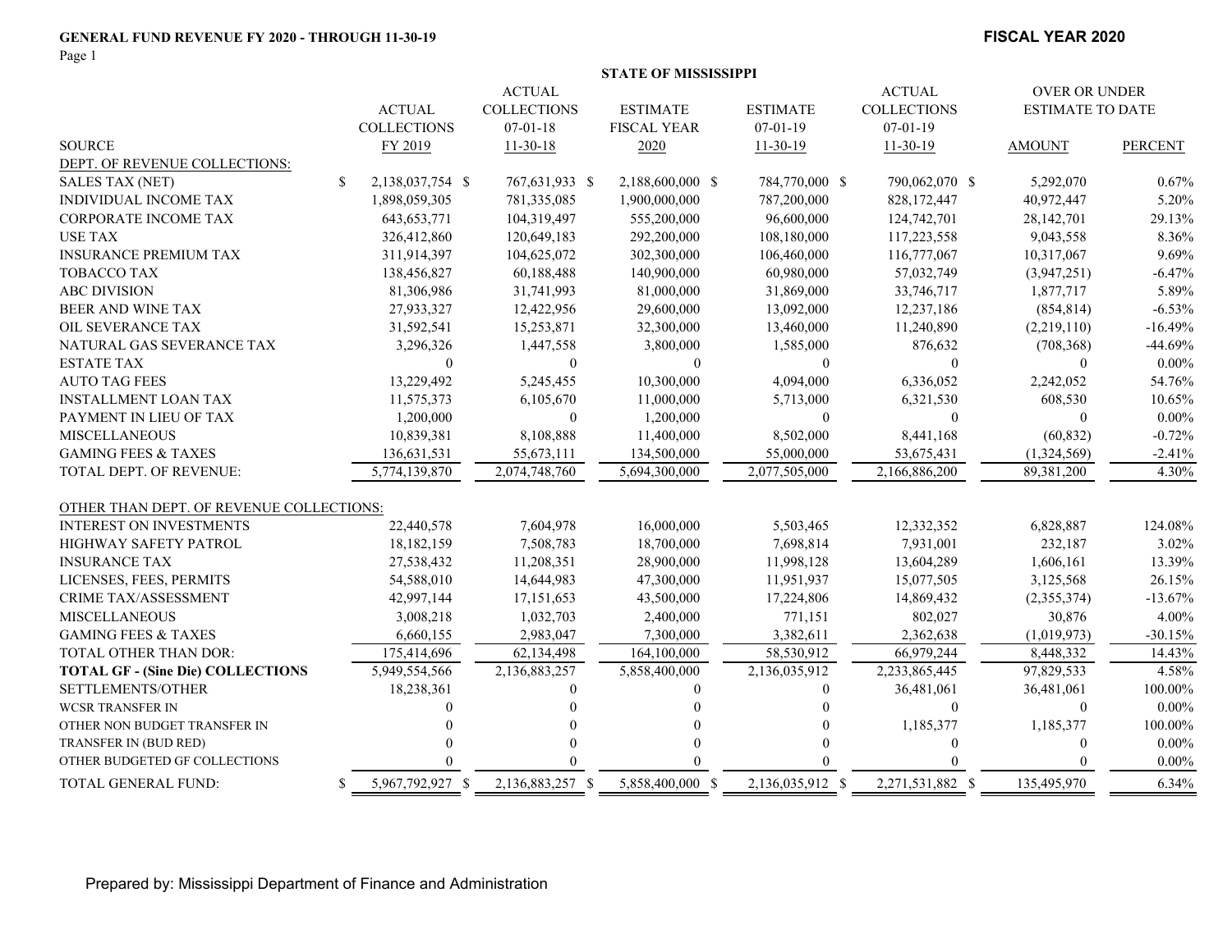#### **GENERAL FUND REVENUE FY 2020 - THROUGH 11-30-19**

Page 1

#### **FISCAL YEAR 2020**

|                                          |    |                    |                    | <b>STATE OF MISSISSIPPI</b> |                  |                    |                         |                |
|------------------------------------------|----|--------------------|--------------------|-----------------------------|------------------|--------------------|-------------------------|----------------|
| <b>ACTUAL</b><br><b>ACTUAL</b>           |    |                    |                    |                             |                  |                    | OVER OR UNDER           |                |
|                                          |    | <b>ACTUAL</b>      | <b>COLLECTIONS</b> | <b>ESTIMATE</b>             | <b>ESTIMATE</b>  | <b>COLLECTIONS</b> | <b>ESTIMATE TO DATE</b> |                |
|                                          |    | <b>COLLECTIONS</b> | $07 - 01 - 18$     | <b>FISCAL YEAR</b>          | $07 - 01 - 19$   | $07 - 01 - 19$     |                         |                |
| <b>SOURCE</b>                            |    | FY 2019            | $11 - 30 - 18$     | 2020                        | $11 - 30 - 19$   | $11 - 30 - 19$     | <b>AMOUNT</b>           | <b>PERCENT</b> |
| DEPT. OF REVENUE COLLECTIONS:            |    |                    |                    |                             |                  |                    |                         |                |
| <b>SALES TAX (NET)</b>                   | \$ | 2,138,037,754 \$   | 767,631,933 \$     | 2,188,600,000 \$            | 784,770,000 \$   | 790,062,070 \$     | 5,292,070               | 0.67%          |
| INDIVIDUAL INCOME TAX                    |    | 1,898,059,305      | 781,335,085        | 1,900,000,000               | 787,200,000      | 828,172,447        | 40,972,447              | 5.20%          |
| <b>CORPORATE INCOME TAX</b>              |    | 643, 653, 771      | 104,319,497        | 555,200,000                 | 96,600,000       | 124,742,701        | 28,142,701              | 29.13%         |
| <b>USE TAX</b>                           |    | 326,412,860        | 120,649,183        | 292,200,000                 | 108,180,000      | 117,223,558        | 9,043,558               | 8.36%          |
| <b>INSURANCE PREMIUM TAX</b>             |    | 311,914,397        | 104,625,072        | 302,300,000                 | 106,460,000      | 116,777,067        | 10,317,067              | 9.69%          |
| <b>TOBACCO TAX</b>                       |    | 138,456,827        | 60,188,488         | 140,900,000                 | 60,980,000       | 57,032,749         | (3,947,251)             | $-6.47%$       |
| <b>ABC DIVISION</b>                      |    | 81,306,986         | 31,741,993         | 81,000,000                  | 31,869,000       | 33,746,717         | 1,877,717               | 5.89%          |
| BEER AND WINE TAX                        |    | 27,933,327         | 12,422,956         | 29,600,000                  | 13,092,000       | 12,237,186         | (854, 814)              | $-6.53%$       |
| OIL SEVERANCE TAX                        |    | 31,592,541         | 15,253,871         | 32,300,000                  | 13,460,000       | 11,240,890         | (2,219,110)             | $-16.49%$      |
| NATURAL GAS SEVERANCE TAX                |    | 3,296,326          | 1,447,558          | 3,800,000                   | 1,585,000        | 876,632            | (708, 368)              | $-44.69%$      |
| <b>ESTATE TAX</b>                        |    | $\Omega$           | $\Omega$           | $\Omega$                    | $\theta$         | $\theta$           | $\mathbf{0}$            | $0.00\%$       |
| <b>AUTO TAG FEES</b>                     |    | 13,229,492         | 5,245,455          | 10,300,000                  | 4,094,000        | 6,336,052          | 2,242,052               | 54.76%         |
| <b>INSTALLMENT LOAN TAX</b>              |    | 11,575,373         | 6,105,670          | 11,000,000                  | 5,713,000        | 6,321,530          | 608,530                 | 10.65%         |
| PAYMENT IN LIEU OF TAX                   |    | 1,200,000          | $\overline{0}$     | 1,200,000                   | $\mathbf{0}$     | $\theta$           | $\mathbf{0}$            | $0.00\%$       |
| <b>MISCELLANEOUS</b>                     |    | 10,839,381         | 8,108,888          | 11,400,000                  | 8,502,000        | 8,441,168          | (60, 832)               | $-0.72%$       |
| <b>GAMING FEES &amp; TAXES</b>           |    | 136,631,531        | 55,673,111         | 134,500,000                 | 55,000,000       | 53,675,431         | (1,324,569)             | $-2.41%$       |
| TOTAL DEPT. OF REVENUE:                  |    | 5,774,139,870      | 2,074,748,760      | 5,694,300,000               | 2,077,505,000    | 2,166,886,200      | 89,381,200              | 4.30%          |
| OTHER THAN DEPT. OF REVENUE COLLECTIONS: |    |                    |                    |                             |                  |                    |                         |                |
| <b>INTEREST ON INVESTMENTS</b>           |    | 22,440,578         | 7,604,978          | 16,000,000                  | 5,503,465        | 12,332,352         | 6,828,887               | 124.08%        |
| <b>HIGHWAY SAFETY PATROL</b>             |    | 18,182,159         | 7,508,783          | 18,700,000                  | 7,698,814        | 7,931,001          | 232,187                 | 3.02%          |
| <b>INSURANCE TAX</b>                     |    | 27,538,432         | 11,208,351         | 28,900,000                  | 11,998,128       | 13,604,289         | 1,606,161               | 13.39%         |
| LICENSES, FEES, PERMITS                  |    | 54,588,010         | 14,644,983         | 47,300,000                  | 11,951,937       | 15,077,505         | 3,125,568               | 26.15%         |
| <b>CRIME TAX/ASSESSMENT</b>              |    | 42,997,144         | 17,151,653         | 43,500,000                  | 17,224,806       | 14,869,432         | (2,355,374)             | $-13.67%$      |
| <b>MISCELLANEOUS</b>                     |    | 3,008,218          | 1,032,703          | 2,400,000                   | 771,151          | 802,027            | 30,876                  | 4.00%          |
| <b>GAMING FEES &amp; TAXES</b>           |    | 6,660,155          | 2,983,047          | 7,300,000                   | 3,382,611        | 2,362,638          | (1,019,973)             | $-30.15%$      |
| <b>TOTAL OTHER THAN DOR:</b>             |    | 175,414,696        | 62,134,498         | 164,100,000                 | 58,530,912       | 66,979,244         | 8,448,332               | 14.43%         |
| <b>TOTAL GF - (Sine Die) COLLECTIONS</b> |    | 5,949,554,566      | 2,136,883,257      | 5,858,400,000               | 2,136,035,912    | 2,233,865,445      | 97,829,533              | 4.58%          |
| SETTLEMENTS/OTHER                        |    | 18,238,361         | $\Omega$           | $\theta$                    | $\theta$         | 36,481,061         | 36,481,061              | 100.00%        |
| <b>WCSR TRANSFER IN</b>                  |    |                    |                    |                             |                  | $\theta$           | $\mathbf{0}$            | $0.00\%$       |
| OTHER NON BUDGET TRANSFER IN             |    |                    |                    |                             |                  | 1,185,377          | 1,185,377               | 100.00%        |
| TRANSFER IN (BUD RED)                    |    |                    |                    | $\Omega$                    |                  | $\theta$           | $\mathbf{0}$            | $0.00\%$       |
| OTHER BUDGETED GF COLLECTIONS            |    |                    |                    |                             |                  |                    | $\Omega$                | $0.00\%$       |
| TOTAL GENERAL FUND:                      | S. | 5,967,792,927 \$   | 2,136,883,257 \$   | 5,858,400,000 \$            | 2,136,035,912 \$ | 2,271,531,882 \$   | 135,495,970             | 6.34%          |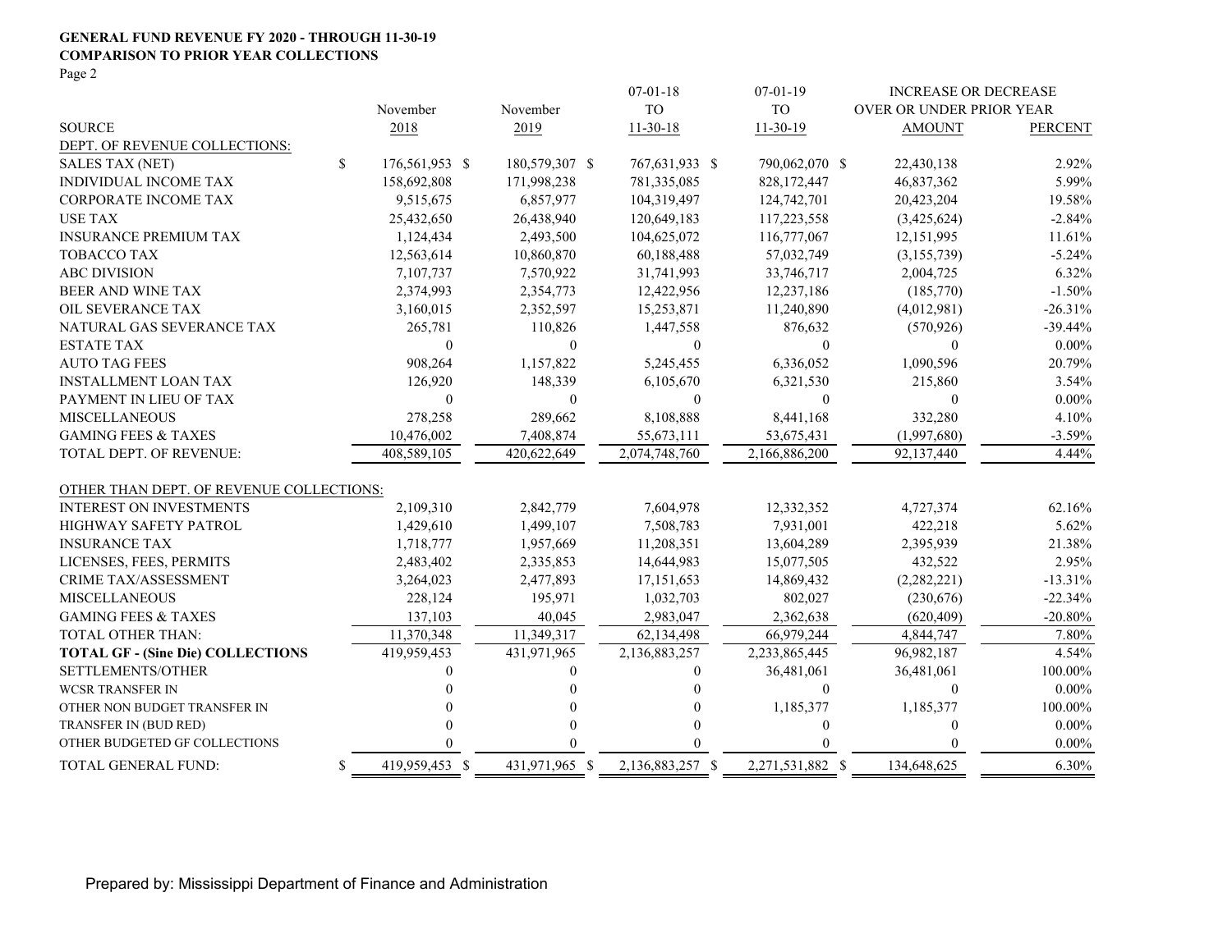#### **GENERAL FUND REVENUE FY 2020 - THROUGH 11-30-19 COMPARISON TO PRIOR YEAR COLLECTIONS** Page 2

|                                          |                      |                  | $07 - 01 - 18$   | $07-01-19$       |                          | <b>INCREASE OR DECREASE</b> |
|------------------------------------------|----------------------|------------------|------------------|------------------|--------------------------|-----------------------------|
|                                          | November             | November         | <b>TO</b>        | <b>TO</b>        | OVER OR UNDER PRIOR YEAR |                             |
| <b>SOURCE</b>                            | 2018                 | 2019             | $11-30-18$       | $11-30-19$       | <b>AMOUNT</b>            | <b>PERCENT</b>              |
| DEPT. OF REVENUE COLLECTIONS:            |                      |                  |                  |                  |                          |                             |
| <b>SALES TAX (NET)</b>                   | \$<br>176,561,953 \$ | 180,579,307 \$   | 767,631,933 \$   | 790,062,070 \$   | 22,430,138               | 2.92%                       |
| <b>INDIVIDUAL INCOME TAX</b>             | 158,692,808          | 171,998,238      | 781,335,085      | 828,172,447      | 46,837,362               | 5.99%                       |
| <b>CORPORATE INCOME TAX</b>              | 9,515,675            | 6,857,977        | 104,319,497      | 124,742,701      | 20,423,204               | 19.58%                      |
| <b>USE TAX</b>                           | 25,432,650           | 26,438,940       | 120,649,183      | 117,223,558      | (3,425,624)              | $-2.84%$                    |
| <b>INSURANCE PREMIUM TAX</b>             | 1,124,434            | 2,493,500        | 104,625,072      | 116,777,067      | 12,151,995               | 11.61%                      |
| <b>TOBACCO TAX</b>                       | 12,563,614           | 10,860,870       | 60,188,488       | 57,032,749       | (3,155,739)              | $-5.24%$                    |
| <b>ABC DIVISION</b>                      | 7,107,737            | 7,570,922        | 31,741,993       | 33,746,717       | 2,004,725                | 6.32%                       |
| BEER AND WINE TAX                        | 2,374,993            | 2,354,773        | 12,422,956       | 12,237,186       | (185,770)                | $-1.50%$                    |
| OIL SEVERANCE TAX                        | 3,160,015            | 2,352,597        | 15,253,871       | 11,240,890       | (4,012,981)              | $-26.31%$                   |
| NATURAL GAS SEVERANCE TAX                | 265,781              | 110,826          | 1,447,558        | 876,632          | (570, 926)               | $-39.44%$                   |
| <b>ESTATE TAX</b>                        | $\bf{0}$             | $\boldsymbol{0}$ | $\boldsymbol{0}$ | $\boldsymbol{0}$ | $\theta$                 | $0.00\%$                    |
| <b>AUTO TAG FEES</b>                     | 908,264              | 1,157,822        | 5,245,455        | 6,336,052        | 1,090,596                | 20.79%                      |
| <b>INSTALLMENT LOAN TAX</b>              | 126,920              | 148,339          | 6,105,670        | 6,321,530        | 215,860                  | 3.54%                       |
| PAYMENT IN LIEU OF TAX                   | $\mathbf{0}$         | $\boldsymbol{0}$ | $\boldsymbol{0}$ | $\boldsymbol{0}$ | $\theta$                 | $0.00\%$                    |
| <b>MISCELLANEOUS</b>                     | 278,258              | 289,662          | 8,108,888        | 8,441,168        | 332,280                  | 4.10%                       |
| <b>GAMING FEES &amp; TAXES</b>           | 10,476,002           | 7,408,874        | 55,673,111       | 53,675,431       | (1,997,680)              | $-3.59%$                    |
| <b>TOTAL DEPT. OF REVENUE:</b>           | 408,589,105          | 420,622,649      | 2,074,748,760    | 2,166,886,200    | 92,137,440               | 4.44%                       |
| OTHER THAN DEPT. OF REVENUE COLLECTIONS: |                      |                  |                  |                  |                          |                             |
| <b>INTEREST ON INVESTMENTS</b>           | 2,109,310            | 2,842,779        | 7,604,978        | 12,332,352       | 4,727,374                | 62.16%                      |
| HIGHWAY SAFETY PATROL                    | 1,429,610            | 1,499,107        | 7,508,783        | 7,931,001        | 422,218                  | 5.62%                       |
| <b>INSURANCE TAX</b>                     | 1,718,777            | 1,957,669        | 11,208,351       | 13,604,289       | 2,395,939                | 21.38%                      |
| LICENSES, FEES, PERMITS                  | 2,483,402            | 2,335,853        | 14,644,983       | 15,077,505       | 432,522                  | 2.95%                       |
| <b>CRIME TAX/ASSESSMENT</b>              | 3,264,023            | 2,477,893        | 17,151,653       | 14,869,432       | (2,282,221)              | $-13.31%$                   |
| <b>MISCELLANEOUS</b>                     | 228,124              | 195,971          | 1,032,703        | 802,027          | (230,676)                | $-22.34%$                   |
| <b>GAMING FEES &amp; TAXES</b>           | 137.103              | 40,045           | 2.983,047        | 2.362.638        | (620, 409)               | $-20.80%$                   |
| TOTAL OTHER THAN:                        | 11,370,348           | 11,349,317       | 62,134,498       | 66,979,244       | 4,844,747                | 7.80%                       |
| <b>TOTAL GF - (Sine Die) COLLECTIONS</b> | 419,959,453          | 431,971,965      | 2,136,883,257    | 2,233,865,445    | 96,982,187               | 4.54%                       |
| SETTLEMENTS/OTHER                        |                      | $\theta$         | 0                | 36,481,061       | 36,481,061               | 100.00%                     |
| <b>WCSR TRANSFER IN</b>                  |                      | $\Omega$         | $\Omega$         | $\theta$         | $\Omega$                 | $0.00\%$                    |
| OTHER NON BUDGET TRANSFER IN             |                      | 0                | $\theta$         | 1,185,377        | 1,185,377                | 100.00%                     |
| TRANSFER IN (BUD RED)                    |                      | 0                | $\theta$         | 0                | $\theta$                 | $0.00\%$                    |
| OTHER BUDGETED GF COLLECTIONS            |                      | $\Omega$         | $\Omega$         | $\Omega$         | $\theta$                 | $0.00\%$                    |
| TOTAL GENERAL FUND:                      | 419,959,453 \$<br>\$ | 431,971,965 \$   | 2,136,883,257 \$ | 2,271,531,882 \$ | 134,648,625              | 6.30%                       |